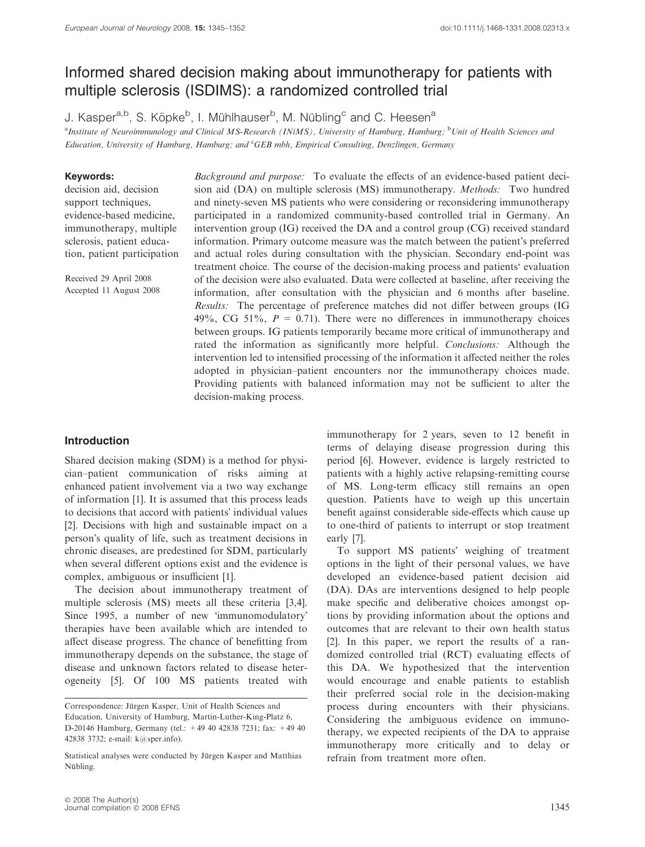# Informed shared decision making about immunotherapy for patients with multiple sclerosis (ISDIMS): a randomized controlled trial

J. Kasper<sup>a,b</sup>, S. Köpke<sup>b</sup>, I. Mühlhauser<sup>b</sup>, M. Nübling<sup>c</sup> and C. Heesen<sup>a</sup>

<sup>a</sup>Institute of Neuroimmunology and Clinical MS-Research (INiMS), University of Hamburg, Hamburg; <sup>b</sup>Unit of Health Sciences and Education, University of Hamburg, Hamburg; and CGEB mbh, Empirical Consulting, Denzlingen, Germany

### Keywords:

decision aid, decision support techniques, evidence-based medicine, immunotherapy, multiple sclerosis, patient education, patient participation

Received 29 April 2008 Accepted 11 August 2008

Background and purpose: To evaluate the effects of an evidence-based patient decision aid (DA) on multiple sclerosis (MS) immunotherapy. Methods: Two hundred and ninety-seven MS patients who were considering or reconsidering immunotherapy participated in a randomized community-based controlled trial in Germany. An intervention group (IG) received the DA and a control group (CG) received standard information. Primary outcome measure was the match between the patient's preferred and actual roles during consultation with the physician. Secondary end-point was treatment choice. The course of the decision-making process and patients' evaluation of the decision were also evaluated. Data were collected at baseline, after receiving the information, after consultation with the physician and 6 months after baseline. Results: The percentage of preference matches did not differ between groups (IG 49%, CG 51%,  $P = 0.71$ . There were no differences in immunotherapy choices between groups. IG patients temporarily became more critical of immunotherapy and rated the information as significantly more helpful. Conclusions: Although the intervention led to intensified processing of the information it affected neither the roles adopted in physician–patient encounters nor the immunotherapy choices made. Providing patients with balanced information may not be sufficient to alter the decision-making process.

# Introduction

Shared decision making (SDM) is a method for physician–patient communication of risks aiming at enhanced patient involvement via a two way exchange of information [1]. It is assumed that this process leads to decisions that accord with patients' individual values [2]. Decisions with high and sustainable impact on a person's quality of life, such as treatment decisions in chronic diseases, are predestined for SDM, particularly when several different options exist and the evidence is complex, ambiguous or insufficient [1].

The decision about immunotherapy treatment of multiple sclerosis (MS) meets all these criteria [3,4]. Since 1995, a number of new 'immunomodulatory' therapies have been available which are intended to affect disease progress. The chance of benefitting from immunotherapy depends on the substance, the stage of disease and unknown factors related to disease heterogeneity [5]. Of 100 MS patients treated with

immunotherapy for 2 years, seven to 12 benefit in terms of delaying disease progression during this period [6]. However, evidence is largely restricted to patients with a highly active relapsing-remitting course of MS. Long-term efficacy still remains an open question. Patients have to weigh up this uncertain benefit against considerable side-effects which cause up to one-third of patients to interrupt or stop treatment early [7].

To support MS patients' weighing of treatment options in the light of their personal values, we have developed an evidence-based patient decision aid (DA). DAs are interventions designed to help people make specific and deliberative choices amongst options by providing information about the options and outcomes that are relevant to their own health status [2]. In this paper, we report the results of a randomized controlled trial (RCT) evaluating effects of this DA. We hypothesized that the intervention would encourage and enable patients to establish their preferred social role in the decision-making process during encounters with their physicians. Considering the ambiguous evidence on immunotherapy, we expected recipients of the DA to appraise immunotherapy more critically and to delay or refrain from treatment more often.

Correspondence: Jürgen Kasper, Unit of Health Sciences and Education, University of Hamburg, Martin-Luther-King-Platz 6, D-20146 Hamburg, Germany (tel.: +49 40 42838 7231; fax: +49 40 42838 3732; e-mail: k@sper.info).

Statistical analyses were conducted by Jürgen Kasper and Matthias Nübling.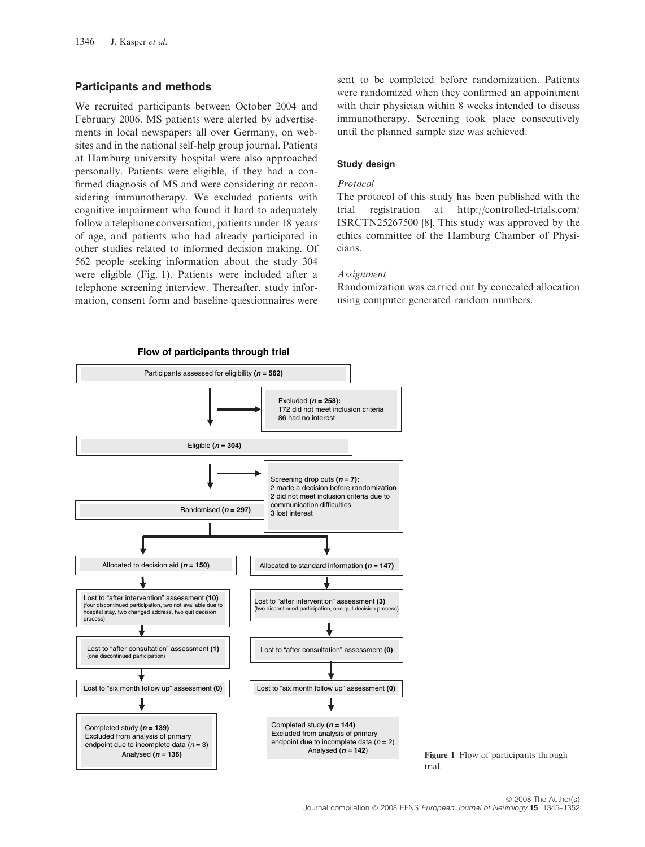### Participants and methods

We recruited participants between October 2004 and February 2006. MS patients were alerted by advertisements in local newspapers all over Germany, on websites and in the national self-help group journal. Patients at Hamburg university hospital were also approached personally. Patients were eligible, if they had a confirmed diagnosis of MS and were considering or reconsidering immunotherapy. We excluded patients with cognitive impairment who found it hard to adequately follow a telephone conversation, patients under 18 years of age, and patients who had already participated in other studies related to informed decision making. Of 562 people seeking information about the study 304 were eligible (Fig. 1). Patients were included after a telephone screening interview. Thereafter, study information, consent form and baseline questionnaires were

sent to be completed before randomization. Patients were randomized when they confirmed an appointment with their physician within 8 weeks intended to discuss immunotherapy. Screening took place consecutively until the planned sample size was achieved.

#### Study design

#### Protocol

The protocol of this study has been published with the trial registration at http://controlled-trials.com/ ISRCTN25267500 [8]. This study was approved by the ethics committee of the Hamburg Chamber of Physicians.

#### **Assignment**

Randomization was carried out by concealed allocation using computer generated random numbers.



Figure 1 Flow of participants through trial.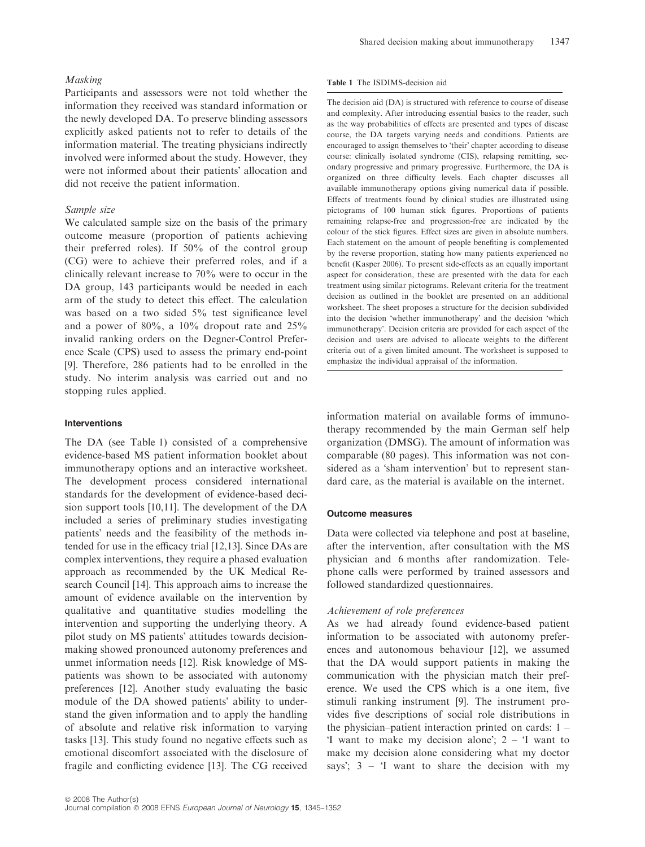## Masking

Participants and assessors were not told whether the information they received was standard information or the newly developed DA. To preserve blinding assessors explicitly asked patients not to refer to details of the information material. The treating physicians indirectly involved were informed about the study. However, they were not informed about their patients' allocation and did not receive the patient information.

#### Sample size

We calculated sample size on the basis of the primary outcome measure (proportion of patients achieving their preferred roles). If 50% of the control group (CG) were to achieve their preferred roles, and if a clinically relevant increase to 70% were to occur in the DA group, 143 participants would be needed in each arm of the study to detect this effect. The calculation was based on a two sided 5% test significance level and a power of 80%, a 10% dropout rate and 25% invalid ranking orders on the Degner-Control Preference Scale (CPS) used to assess the primary end-point [9]. Therefore, 286 patients had to be enrolled in the study. No interim analysis was carried out and no stopping rules applied.

### Interventions

The DA (see Table 1) consisted of a comprehensive evidence-based MS patient information booklet about immunotherapy options and an interactive worksheet. The development process considered international standards for the development of evidence-based decision support tools [10,11]. The development of the DA included a series of preliminary studies investigating patients' needs and the feasibility of the methods intended for use in the efficacy trial [12,13]. Since DAs are complex interventions, they require a phased evaluation approach as recommended by the UK Medical Research Council [14]. This approach aims to increase the amount of evidence available on the intervention by qualitative and quantitative studies modelling the intervention and supporting the underlying theory. A pilot study on MS patients' attitudes towards decisionmaking showed pronounced autonomy preferences and unmet information needs [12]. Risk knowledge of MSpatients was shown to be associated with autonomy preferences [12]. Another study evaluating the basic module of the DA showed patients' ability to understand the given information and to apply the handling of absolute and relative risk information to varying tasks [13]. This study found no negative effects such as emotional discomfort associated with the disclosure of fragile and conflicting evidence [13]. The CG received The decision aid (DA) is structured with reference to course of disease and complexity. After introducing essential basics to the reader, such as the way probabilities of effects are presented and types of disease course, the DA targets varying needs and conditions. Patients are encouraged to assign themselves to 'their' chapter according to disease course: clinically isolated syndrome (CIS), relapsing remitting, secondary progressive and primary progressive. Furthermore, the DA is organized on three difficulty levels. Each chapter discusses all available immunotherapy options giving numerical data if possible. Effects of treatments found by clinical studies are illustrated using pictograms of 100 human stick figures. Proportions of patients remaining relapse-free and progression-free are indicated by the colour of the stick figures. Effect sizes are given in absolute numbers. Each statement on the amount of people benefiting is complemented by the reverse proportion, stating how many patients experienced no benefit (Kasper 2006). To present side-effects as an equally important aspect for consideration, these are presented with the data for each treatment using similar pictograms. Relevant criteria for the treatment decision as outlined in the booklet are presented on an additional worksheet. The sheet proposes a structure for the decision subdivided into the decision 'whether immunotherapy' and the decision 'which immunotherapy'. Decision criteria are provided for each aspect of the decision and users are advised to allocate weights to the different criteria out of a given limited amount. The worksheet is supposed to emphasize the individual appraisal of the information.

information material on available forms of immunotherapy recommended by the main German self help organization (DMSG). The amount of information was comparable (80 pages). This information was not considered as a 'sham intervention' but to represent standard care, as the material is available on the internet.

#### Outcome measures

Data were collected via telephone and post at baseline, after the intervention, after consultation with the MS physician and 6 months after randomization. Telephone calls were performed by trained assessors and followed standardized questionnaires.

#### Achievement of role preferences

As we had already found evidence-based patient information to be associated with autonomy preferences and autonomous behaviour [12], we assumed that the DA would support patients in making the communication with the physician match their preference. We used the CPS which is a one item, five stimuli ranking instrument [9]. The instrument provides five descriptions of social role distributions in the physician–patient interaction printed on cards: 1 – I want to make my decision alone';  $2 - I$  want to make my decision alone considering what my doctor says';  $3 - 1$  want to share the decision with my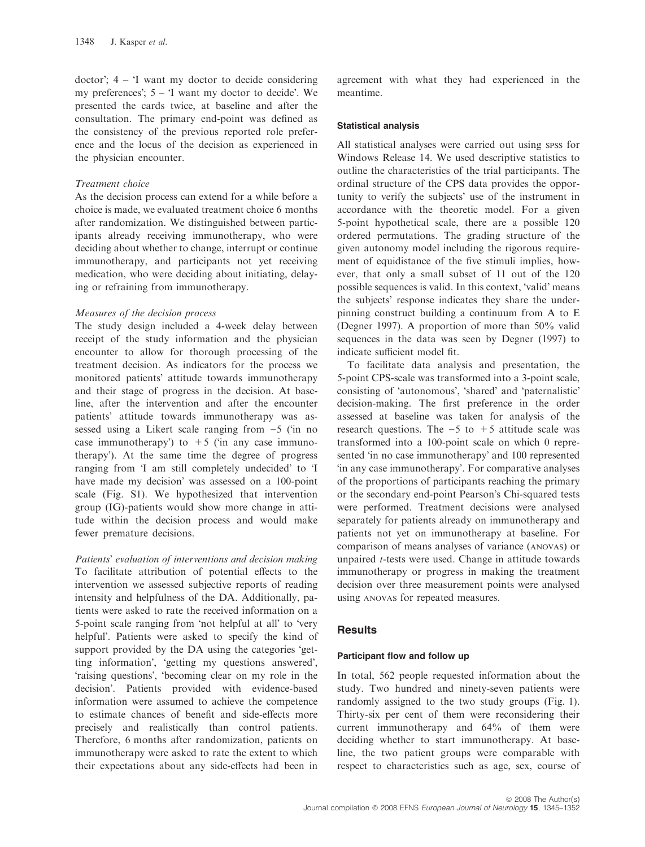doctor'; 4 – 'I want my doctor to decide considering my preferences'; 5 – 'I want my doctor to decide'. We presented the cards twice, at baseline and after the consultation. The primary end-point was defined as the consistency of the previous reported role preference and the locus of the decision as experienced in the physician encounter.

### Treatment choice

As the decision process can extend for a while before a choice is made, we evaluated treatment choice 6 months after randomization. We distinguished between participants already receiving immunotherapy, who were deciding about whether to change, interrupt or continue immunotherapy, and participants not yet receiving medication, who were deciding about initiating, delaying or refraining from immunotherapy.

### Measures of the decision process

The study design included a 4-week delay between receipt of the study information and the physician encounter to allow for thorough processing of the treatment decision. As indicators for the process we monitored patients' attitude towards immunotherapy and their stage of progress in the decision. At baseline, after the intervention and after the encounter patients' attitude towards immunotherapy was assessed using a Likert scale ranging from  $-5$  (in no case immunotherapy') to  $+5$  ('in any case immunotherapy'). At the same time the degree of progress ranging from 'I am still completely undecided' to 'I have made my decision' was assessed on a 100-point scale (Fig. S1). We hypothesized that intervention group (IG)-patients would show more change in attitude within the decision process and would make fewer premature decisions.

Patients' evaluation of interventions and decision making To facilitate attribution of potential effects to the intervention we assessed subjective reports of reading intensity and helpfulness of the DA. Additionally, patients were asked to rate the received information on a 5-point scale ranging from 'not helpful at all' to 'very helpful'. Patients were asked to specify the kind of support provided by the DA using the categories 'getting information', 'getting my questions answered', 'raising questions', 'becoming clear on my role in the decision'. Patients provided with evidence-based information were assumed to achieve the competence to estimate chances of benefit and side-effects more precisely and realistically than control patients. Therefore, 6 months after randomization, patients on immunotherapy were asked to rate the extent to which their expectations about any side-effects had been in agreement with what they had experienced in the meantime.

### Statistical analysis

All statistical analyses were carried out using spss for Windows Release 14. We used descriptive statistics to outline the characteristics of the trial participants. The ordinal structure of the CPS data provides the opportunity to verify the subjects' use of the instrument in accordance with the theoretic model. For a given 5-point hypothetical scale, there are a possible 120 ordered permutations. The grading structure of the given autonomy model including the rigorous requirement of equidistance of the five stimuli implies, however, that only a small subset of 11 out of the 120 possible sequences is valid. In this context, 'valid' means the subjects' response indicates they share the underpinning construct building a continuum from A to E (Degner 1997). A proportion of more than 50% valid sequences in the data was seen by Degner (1997) to indicate sufficient model fit.

To facilitate data analysis and presentation, the 5-point CPS-scale was transformed into a 3-point scale, consisting of 'autonomous', 'shared' and 'paternalistic' decision-making. The first preference in the order assessed at baseline was taken for analysis of the research questions. The  $-5$  to  $+5$  attitude scale was transformed into a 100-point scale on which 0 represented 'in no case immunotherapy' and 100 represented in any case immunotherapy'. For comparative analyses of the proportions of participants reaching the primary or the secondary end-point Pearson's Chi-squared tests were performed. Treatment decisions were analysed separately for patients already on immunotherapy and patients not yet on immunotherapy at baseline. For comparison of means analyses of variance (ANOVAS) or unpaired t-tests were used. Change in attitude towards immunotherapy or progress in making the treatment decision over three measurement points were analysed using ANOVAS for repeated measures.

# **Results**

### Participant flow and follow up

In total, 562 people requested information about the study. Two hundred and ninety-seven patients were randomly assigned to the two study groups (Fig. 1). Thirty-six per cent of them were reconsidering their current immunotherapy and 64% of them were deciding whether to start immunotherapy. At baseline, the two patient groups were comparable with respect to characteristics such as age, sex, course of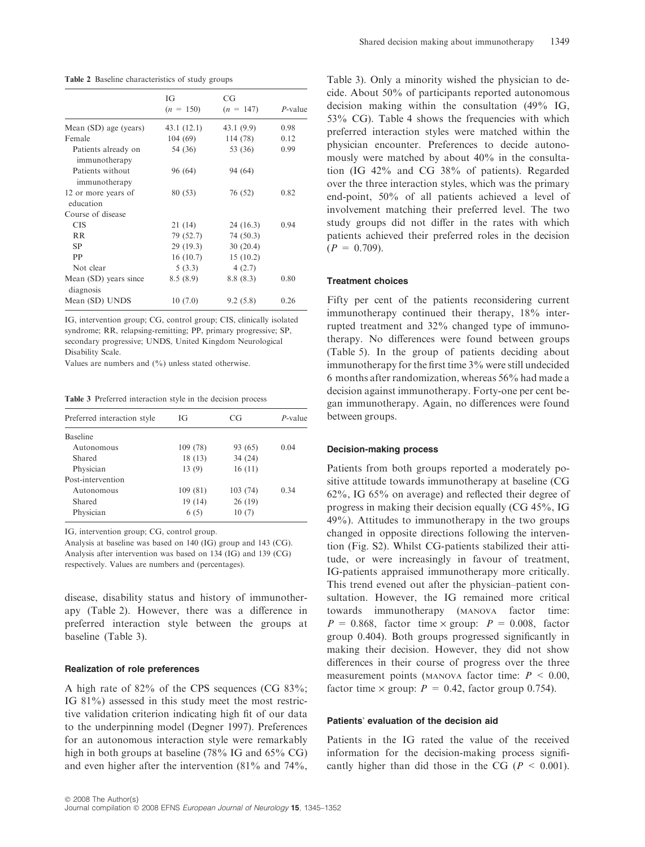Table 2 Baseline characteristics of study groups

|                                      | IG          | CG          |            |  |
|--------------------------------------|-------------|-------------|------------|--|
|                                      | $(n = 150)$ | $(n = 147)$ | $P$ -value |  |
| Mean (SD) age (years)                | 43.1(12.1)  | 43.1(9.9)   | 0.98       |  |
| Female                               | 104(69)     | 114 (78)    | 0.12       |  |
| Patients already on<br>immunotherapy | 54 (36)     | 53 (36)     | 0.99       |  |
| Patients without<br>immunotherapy    | 96 (64)     | 94 (64)     |            |  |
| 12 or more years of<br>education     | 80 (53)     | 76 (52)     | 0.82       |  |
| Course of disease                    |             |             |            |  |
| <b>CIS</b>                           | 21(14)      | 24(16.3)    | 0.94       |  |
| <b>RR</b>                            | 79 (52.7)   | 74 (50.3)   |            |  |
| <b>SP</b>                            | 29(19.3)    | 30(20.4)    |            |  |
| PP                                   | 16(10.7)    | 15(10.2)    |            |  |
| Not clear                            | 5(3.3)      | 4(2.7)      |            |  |
| Mean (SD) years since<br>diagnosis   | 8.5(8.9)    | 8.8(8.3)    | 0.80       |  |
| Mean (SD) UNDS                       | 10(7.0)     | 9.2(5.8)    | 0.26       |  |

IG, intervention group; CG, control group; CIS, clinically isolated syndrome; RR, relapsing-remitting; PP, primary progressive; SP, secondary progressive; UNDS, United Kingdom Neurological Disability Scale.

Values are numbers and (%) unless stated otherwise.

Table 3 Preferred interaction style in the decision process

| Preferred interaction style | IG       | CG       | $P$ -value |
|-----------------------------|----------|----------|------------|
| <b>Baseline</b>             |          |          |            |
| Autonomous                  | 109 (78) | 93 (65)  | 0.04       |
| Shared                      | 18(13)   | 34(24)   |            |
| Physician                   | 13(9)    | 16(11)   |            |
| Post-intervention           |          |          |            |
| Autonomous                  | 109 (81) | 103 (74) | 0.34       |
| Shared                      | 19 (14)  | 26(19)   |            |
| Physician                   | 6(5)     | 10(7)    |            |

IG, intervention group; CG, control group.

Analysis at baseline was based on 140 (IG) group and 143 (CG). Analysis after intervention was based on 134 (IG) and 139 (CG) respectively. Values are numbers and (percentages).

disease, disability status and history of immunotherapy (Table 2). However, there was a difference in preferred interaction style between the groups at baseline (Table 3).

#### Realization of role preferences

A high rate of 82% of the CPS sequences (CG 83%; IG 81%) assessed in this study meet the most restrictive validation criterion indicating high fit of our data to the underpinning model (Degner 1997). Preferences for an autonomous interaction style were remarkably high in both groups at baseline (78% IG and 65% CG) and even higher after the intervention (81% and 74%, Table 3). Only a minority wished the physician to decide. About 50% of participants reported autonomous decision making within the consultation (49% IG, 53% CG). Table 4 shows the frequencies with which preferred interaction styles were matched within the physician encounter. Preferences to decide autonomously were matched by about 40% in the consultation (IG 42% and CG 38% of patients). Regarded over the three interaction styles, which was the primary end-point, 50% of all patients achieved a level of involvement matching their preferred level. The two study groups did not differ in the rates with which patients achieved their preferred roles in the decision  $(P = 0.709)$ .

#### Treatment choices

Fifty per cent of the patients reconsidering current immunotherapy continued their therapy, 18% interrupted treatment and 32% changed type of immunotherapy. No differences were found between groups (Table 5). In the group of patients deciding about immunotherapy for the first time 3% were still undecided 6 months after randomization, whereas 56% had made a decision against immunotherapy. Forty-one per cent began immunotherapy. Again, no differences were found between groups.

### Decision-making process

Patients from both groups reported a moderately positive attitude towards immunotherapy at baseline (CG 62%, IG 65% on average) and reflected their degree of progress in making their decision equally (CG 45%, IG 49%). Attitudes to immunotherapy in the two groups changed in opposite directions following the intervention (Fig. S2). Whilst CG-patients stabilized their attitude, or were increasingly in favour of treatment, IG-patients appraised immunotherapy more critically. This trend evened out after the physician–patient consultation. However, the IG remained more critical towards immunotherapy (MANOVA factor time:  $P = 0.868$ , factor time  $\times$  group:  $P = 0.008$ , factor group 0.404). Both groups progressed significantly in making their decision. However, they did not show differences in their course of progress over the three measurement points (MANOVA factor time:  $P < 0.00$ , factor time  $\times$  group:  $P = 0.42$ , factor group 0.754).

#### Patients' evaluation of the decision aid

Patients in the IG rated the value of the received information for the decision-making process significantly higher than did those in the CG ( $P < 0.001$ ).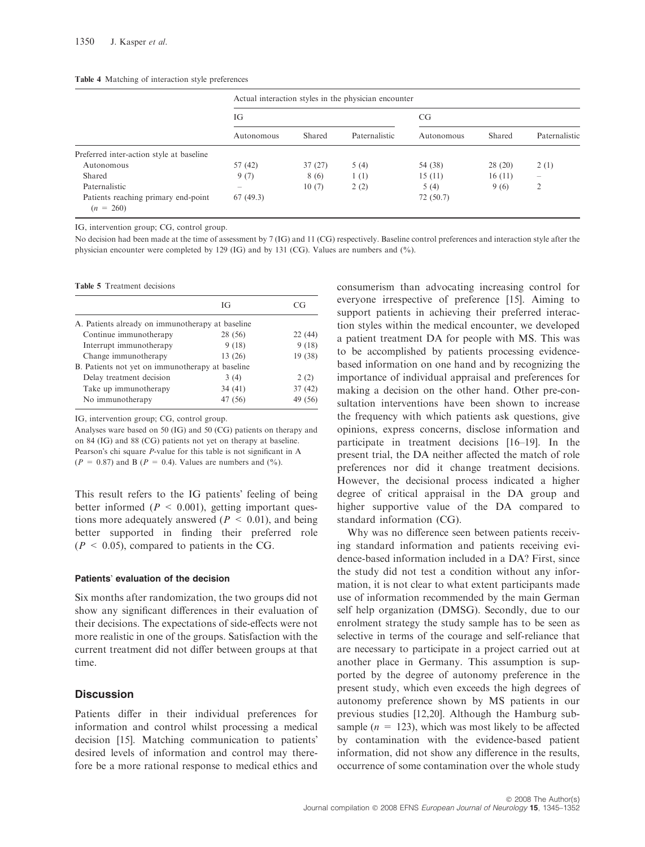#### Table 4 Matching of interaction style preferences

|                                                    | Actual interaction styles in the physician encounter |        |               |            |        |                          |
|----------------------------------------------------|------------------------------------------------------|--------|---------------|------------|--------|--------------------------|
|                                                    | IG                                                   |        |               | CG.        |        |                          |
|                                                    | Autonomous                                           | Shared | Paternalistic | Autonomous | Shared | Paternalistic            |
| Preferred inter-action style at baseline           |                                                      |        |               |            |        |                          |
| Autonomous                                         | 57 (42)                                              | 37(27) | 5(4)          | 54 (38)    | 28(20) | 2(1)                     |
| Shared                                             | 9(7)                                                 | 8 (6)  | 1(1)          | 15(11)     | 16(11) | $\overline{\phantom{a}}$ |
| Paternalistic                                      | $\sim$                                               | 10(7)  | 2(2)          | 5(4)       | 9(6)   | 2                        |
| Patients reaching primary end-point<br>$(n = 260)$ | 67(49.3)                                             |        |               | 72 (50.7)  |        |                          |

IG, intervention group; CG, control group.

No decision had been made at the time of assessment by 7 (IG) and 11 (CG) respectively. Baseline control preferences and interaction style after the physician encounter were completed by 129 (IG) and by 131 (CG). Values are numbers and (%).

Table 5 Treatment decisions

|                                                  | ĪG      | ∵ G     |
|--------------------------------------------------|---------|---------|
| A. Patients already on immunotherapy at baseline |         |         |
| Continue immunotherapy                           | 28 (56) | 22(44)  |
| Interrupt immunotherapy                          | 9(18)   | 9(18)   |
| Change immunotherapy                             | 13(26)  | 19 (38) |
| B. Patients not yet on immunotherapy at baseline |         |         |
| Delay treatment decision                         | 3(4)    | 2(2)    |
| Take up immunotherapy                            | 34(41)  | 37(42)  |
| No immunotherapy                                 | 47 (56) | 49 (56) |

IG, intervention group; CG, control group.

Analyses ware based on 50 (IG) and 50 (CG) patients on therapy and on 84 (IG) and 88 (CG) patients not yet on therapy at baseline. Pearson's chi square P-value for this table is not significant in A  $(P = 0.87)$  and B  $(P = 0.4)$ . Values are numbers and  $(\%).$ 

This result refers to the IG patients' feeling of being better informed ( $P < 0.001$ ), getting important questions more adequately answered ( $P < 0.01$ ), and being better supported in finding their preferred role  $(P < 0.05)$ , compared to patients in the CG.

#### Patients' evaluation of the decision

Six months after randomization, the two groups did not show any significant differences in their evaluation of their decisions. The expectations of side-effects were not more realistic in one of the groups. Satisfaction with the current treatment did not differ between groups at that time.

## **Discussion**

Patients differ in their individual preferences for information and control whilst processing a medical decision [15]. Matching communication to patients' desired levels of information and control may therefore be a more rational response to medical ethics and consumerism than advocating increasing control for everyone irrespective of preference [15]. Aiming to support patients in achieving their preferred interaction styles within the medical encounter, we developed a patient treatment DA for people with MS. This was to be accomplished by patients processing evidencebased information on one hand and by recognizing the importance of individual appraisal and preferences for making a decision on the other hand. Other pre-consultation interventions have been shown to increase the frequency with which patients ask questions, give opinions, express concerns, disclose information and participate in treatment decisions [16–19]. In the present trial, the DA neither affected the match of role preferences nor did it change treatment decisions. However, the decisional process indicated a higher degree of critical appraisal in the DA group and higher supportive value of the DA compared to standard information (CG).

Why was no difference seen between patients receiving standard information and patients receiving evidence-based information included in a DA? First, since the study did not test a condition without any information, it is not clear to what extent participants made use of information recommended by the main German self help organization (DMSG). Secondly, due to our enrolment strategy the study sample has to be seen as selective in terms of the courage and self-reliance that are necessary to participate in a project carried out at another place in Germany. This assumption is supported by the degree of autonomy preference in the present study, which even exceeds the high degrees of autonomy preference shown by MS patients in our previous studies [12,20]. Although the Hamburg subsample ( $n = 123$ ), which was most likely to be affected by contamination with the evidence-based patient information, did not show any difference in the results, occurrence of some contamination over the whole study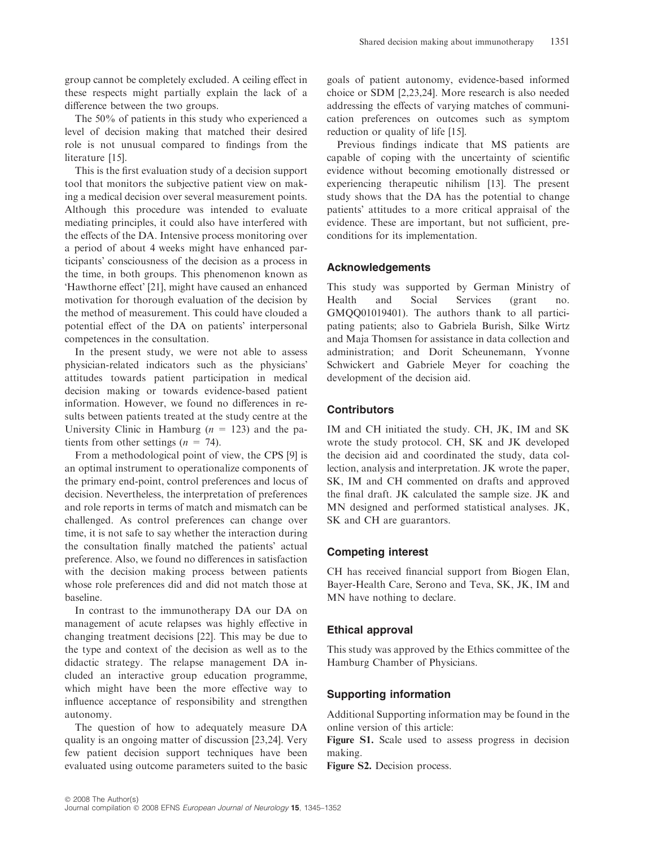group cannot be completely excluded. A ceiling effect in these respects might partially explain the lack of a difference between the two groups.

The 50% of patients in this study who experienced a level of decision making that matched their desired role is not unusual compared to findings from the literature [15].

This is the first evaluation study of a decision support tool that monitors the subjective patient view on making a medical decision over several measurement points. Although this procedure was intended to evaluate mediating principles, it could also have interfered with the effects of the DA. Intensive process monitoring over a period of about 4 weeks might have enhanced participants' consciousness of the decision as a process in the time, in both groups. This phenomenon known as Hawthorne effect' [21], might have caused an enhanced motivation for thorough evaluation of the decision by the method of measurement. This could have clouded a potential effect of the DA on patients' interpersonal competences in the consultation.

In the present study, we were not able to assess physician-related indicators such as the physicians' attitudes towards patient participation in medical decision making or towards evidence-based patient information. However, we found no differences in results between patients treated at the study centre at the University Clinic in Hamburg ( $n = 123$ ) and the patients from other settings ( $n = 74$ ).

From a methodological point of view, the CPS [9] is an optimal instrument to operationalize components of the primary end-point, control preferences and locus of decision. Nevertheless, the interpretation of preferences and role reports in terms of match and mismatch can be challenged. As control preferences can change over time, it is not safe to say whether the interaction during the consultation finally matched the patients' actual preference. Also, we found no differences in satisfaction with the decision making process between patients whose role preferences did and did not match those at baseline.

In contrast to the immunotherapy DA our DA on management of acute relapses was highly effective in changing treatment decisions [22]. This may be due to the type and context of the decision as well as to the didactic strategy. The relapse management DA included an interactive group education programme, which might have been the more effective way to influence acceptance of responsibility and strengthen autonomy.

The question of how to adequately measure DA quality is an ongoing matter of discussion [23,24]. Very few patient decision support techniques have been evaluated using outcome parameters suited to the basic goals of patient autonomy, evidence-based informed choice or SDM [2,23,24]. More research is also needed addressing the effects of varying matches of communication preferences on outcomes such as symptom reduction or quality of life [15].

Previous findings indicate that MS patients are capable of coping with the uncertainty of scientific evidence without becoming emotionally distressed or experiencing therapeutic nihilism [13]. The present study shows that the DA has the potential to change patients' attitudes to a more critical appraisal of the evidence. These are important, but not sufficient, preconditions for its implementation.

# Acknowledgements

This study was supported by German Ministry of Health and Social Services (grant no. GMQQ01019401). The authors thank to all participating patients; also to Gabriela Burish, Silke Wirtz and Maja Thomsen for assistance in data collection and administration; and Dorit Scheunemann, Yvonne Schwickert and Gabriele Meyer for coaching the development of the decision aid.

# **Contributors**

IM and CH initiated the study. CH, JK, IM and SK wrote the study protocol. CH, SK and JK developed the decision aid and coordinated the study, data collection, analysis and interpretation. JK wrote the paper, SK, IM and CH commented on drafts and approved the final draft. JK calculated the sample size. JK and MN designed and performed statistical analyses. JK, SK and CH are guarantors.

# Competing interest

CH has received financial support from Biogen Elan, Bayer-Health Care, Serono and Teva, SK, JK, IM and MN have nothing to declare.

# Ethical approval

This study was approved by the Ethics committee of the Hamburg Chamber of Physicians.

# Supporting information

Additional Supporting information may be found in the online version of this article:

Figure S1. Scale used to assess progress in decision making.

Figure S2. Decision process.